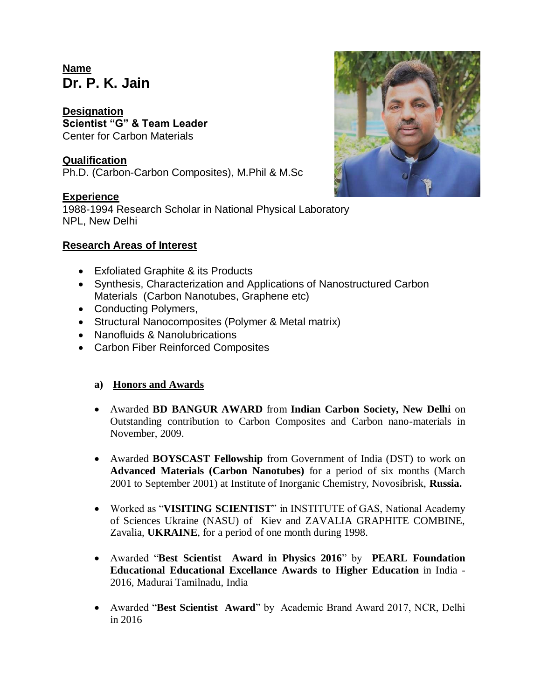# **Name Dr. P. K. Jain**

**Designation Scientist "G" & Team Leader** Center for Carbon Materials

# **Qualification**

Ph.D. (Carbon-Carbon Composites), M.Phil & M.Sc

## **Experience**

1988-1994 Research Scholar in National Physical Laboratory NPL, New Delhi

### **Research Areas of Interest**

- Exfoliated Graphite & its Products
- Synthesis, Characterization and Applications of Nanostructured Carbon Materials (Carbon Nanotubes, Graphene etc)
- Conducting Polymers,
- Structural Nanocomposites (Polymer & Metal matrix)
- Nanofluids & Nanolubrications
- Carbon Fiber Reinforced Composites

### **a) Honors and Awards**

- Awarded **BD BANGUR AWARD** from **Indian Carbon Society, New Delhi** on Outstanding contribution to Carbon Composites and Carbon nano-materials in November, 2009.
- Awarded **BOYSCAST Fellowship** from Government of India (DST) to work on **Advanced Materials (Carbon Nanotubes)** for a period of six months (March 2001 to September 2001) at Institute of Inorganic Chemistry, Novosibrisk, **Russia.**
- Worked as "**VISITING SCIENTIST**" in INSTITUTE of GAS, National Academy of Sciences Ukraine (NASU) of Kiev and ZAVALIA GRAPHITE COMBINE, Zavalia, **UKRAINE**, for a period of one month during 1998.
- Awarded "**Best Scientist Award in Physics 2016**" by **PEARL Foundation Educational Educational Excellance Awards to Higher Education** in India - 2016, Madurai Tamilnadu, India
- Awarded "**Best Scientist Award**" by Academic Brand Award 2017, NCR, Delhi in 2016

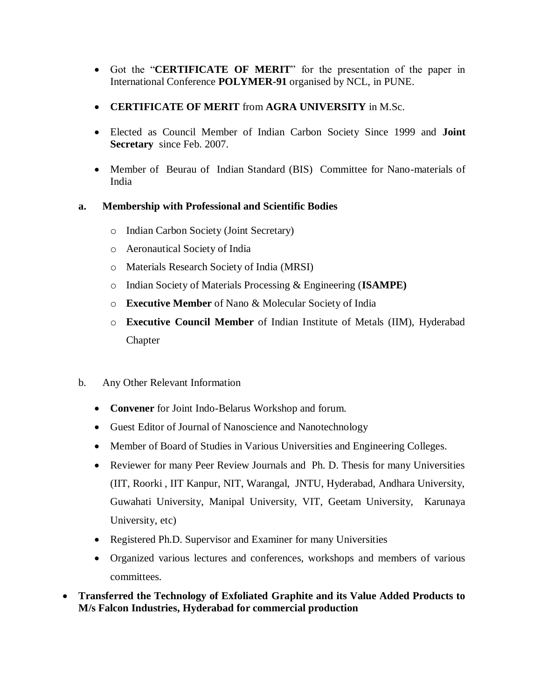- Got the "**CERTIFICATE OF MERIT**" for the presentation of the paper in International Conference **POLYMER-91** organised by NCL, in PUNE.
- **CERTIFICATE OF MERIT** from **AGRA UNIVERSITY** in M.Sc.
- Elected as Council Member of Indian Carbon Society Since 1999 and **Joint Secretary** since Feb. 2007.
- Member of Beurau of Indian Standard (BIS) Committee for Nano-materials of India

## **a. Membership with Professional and Scientific Bodies**

- o Indian Carbon Society (Joint Secretary)
- o Aeronautical Society of India
- o Materials Research Society of India (MRSI)
- o Indian Society of Materials Processing & Engineering (**ISAMPE)**
- o **Executive Member** of Nano & Molecular Society of India
- o **Executive Council Member** of Indian Institute of Metals (IIM), Hyderabad Chapter
- b. Any Other Relevant Information
	- **Convener** for Joint Indo-Belarus Workshop and forum.
	- Guest Editor of Journal of Nanoscience and Nanotechnology
	- Member of Board of Studies in Various Universities and Engineering Colleges.
	- Reviewer for many Peer Review Journals and Ph. D. Thesis for many Universities (IIT, Roorki , IIT Kanpur, NIT, Warangal, JNTU, Hyderabad, Andhara University, Guwahati University, Manipal University, VIT, Geetam University, Karunaya University, etc)
	- Registered Ph.D. Supervisor and Examiner for many Universities
	- Organized various lectures and conferences, workshops and members of various committees.
- **Transferred the Technology of Exfoliated Graphite and its Value Added Products to M/s Falcon Industries, Hyderabad for commercial production**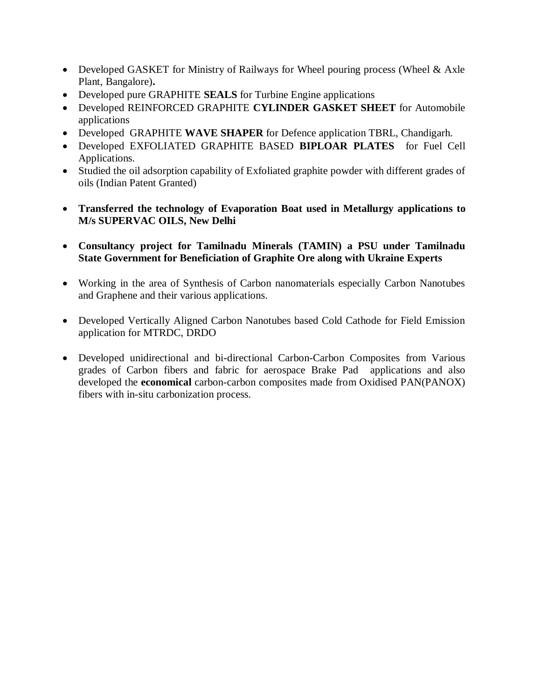- Developed GASKET for Ministry of Railways for Wheel pouring process (Wheel & Axle Plant, Bangalore)**.**
- Developed pure GRAPHITE **SEALS** for Turbine Engine applications
- Developed REINFORCED GRAPHITE **CYLINDER GASKET SHEET** for Automobile applications
- Developed GRAPHITE **WAVE SHAPER** for Defence application TBRL, Chandigarh.
- Developed EXFOLIATED GRAPHITE BASED **BIPLOAR PLATES** for Fuel Cell Applications.
- Studied the oil adsorption capability of Exfoliated graphite powder with different grades of oils (Indian Patent Granted)
- **Transferred the technology of Evaporation Boat used in Metallurgy applications to M/s SUPERVAC OILS, New Delhi**
- **Consultancy project for Tamilnadu Minerals (TAMIN) a PSU under Tamilnadu State Government for Beneficiation of Graphite Ore along with Ukraine Experts**
- Working in the area of Synthesis of Carbon nanomaterials especially Carbon Nanotubes and Graphene and their various applications.
- Developed Vertically Aligned Carbon Nanotubes based Cold Cathode for Field Emission application for MTRDC, DRDO
- Developed unidirectional and bi-directional Carbon-Carbon Composites from Various grades of Carbon fibers and fabric for aerospace Brake Pad applications and also developed the **economical** carbon-carbon composites made from Oxidised PAN(PANOX) fibers with in-situ carbonization process.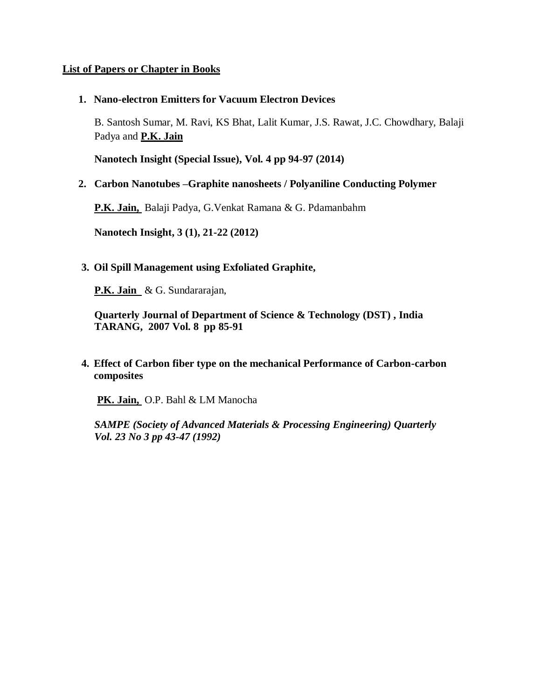#### **List of Papers or Chapter in Books**

**1. Nano-electron Emitters for Vacuum Electron Devices**

B. Santosh Sumar, M. Ravi, KS Bhat, Lalit Kumar, J.S. Rawat, J.C. Chowdhary, Balaji Padya and **P.K. Jain**

**Nanotech Insight (Special Issue), Vol. 4 pp 94-97 (2014)**

**2. Carbon Nanotubes –Graphite nanosheets / Polyaniline Conducting Polymer**

**P.K. Jain,** Balaji Padya, G.Venkat Ramana & G. Pdamanbahm

**Nanotech Insight, 3 (1), 21-22 (2012)**

**3. Oil Spill Management using Exfoliated Graphite,**

**P.K. Jain** & G. Sundararajan,

**Quarterly Journal of Department of Science & Technology (DST) , India TARANG, 2007 Vol. 8 pp 85-91**

**4. Effect of Carbon fiber type on the mechanical Performance of Carbon-carbon composites**

**PK. Jain,** O.P. Bahl & LM Manocha

*SAMPE (Society of Advanced Materials & Processing Engineering) Quarterly Vol. 23 No 3 pp 43-47 (1992)*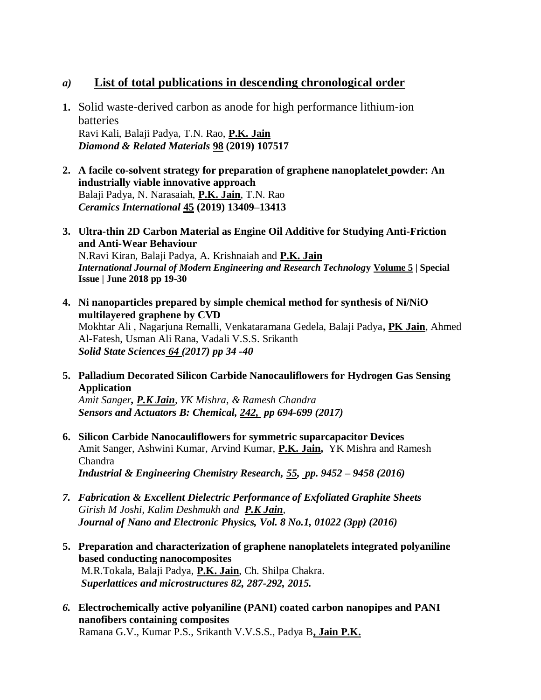# *a)* **List of total publications in descending chronological order**

- **1.** Solid waste-derived carbon as anode for high performance lithium-ion batteries Ravi Kali, Balaji Padya, T.N. Rao, **P.K. Jain** *Diamond & Related Materials* **98 (2019) 107517**
- **2. A facile co-solvent strategy for preparation of graphene nanoplatelet powder: An industrially viable innovative approach** Balaji Padya, N. Narasaiah, **P.K. Jain**, T.N. Rao *Ceramics International* **45 (2019) 13409–13413**
- **3. Ultra-thin 2D Carbon Material as Engine Oil Additive for Studying Anti-Friction and Anti-Wear Behaviour** N.Ravi Kiran, Balaji Padya, A. Krishnaiah and **P.K. Jain** *International Journal of Modern Engineering and Research Technolog***y Volume 5 | Special Issue | June 2018 pp 19-30**
- **4. Ni nanoparticles prepared by simple chemical method for synthesis of Ni/NiO multilayered graphene by CVD** Mokhtar Ali , Nagarjuna Remalli, Venkataramana Gedela, Balaji Padya**, PK Jain**, Ahmed Al-Fatesh, Usman Ali Rana, Vadali V.S.S. Srikanth *Solid State Sciences 64 (2017) pp 34 -40*
- **5. Palladium Decorated Silicon Carbide Nanocauliflowers for Hydrogen Gas Sensing Application**

*Amit Sanger, P.K Jain, YK Mishra, & Ramesh Chandra Sensors and Actuators B: Chemical, 242, pp 694-699 (2017)*

- **6. Silicon Carbide Nanocauliflowers for symmetric suparcapacitor Devices** Amit Sanger, Ashwini Kumar, Arvind Kumar, **P.K. Jain,** YK Mishra and Ramesh Chandra *Industrial & Engineering Chemistry Research, 55, pp. 9452 – 9458 (2016)*
- *7. Fabrication & Excellent Dielectric Performance of Exfoliated Graphite Sheets Girish M Joshi, Kalim Deshmukh and P.K Jain, Journal of Nano and Electronic Physics, Vol. 8 No.1, 01022 (3pp) (2016)*
- **5. Preparation and characterization of graphene nanoplatelets integrated polyaniline based conducting nanocomposites** M.R.Tokala, Balaji Padya, **P.K. Jain**, Ch. Shilpa Chakra. *Superlattices and microstructures 82, 287-292, 2015.*
- *6.* **Electrochemically active polyaniline (PANI) coated carbon nanopipes and PANI nanofibers containing composites** Ramana G.V., Kumar P.S., Srikanth V.V.S.S., Padya B**, Jain P.K.**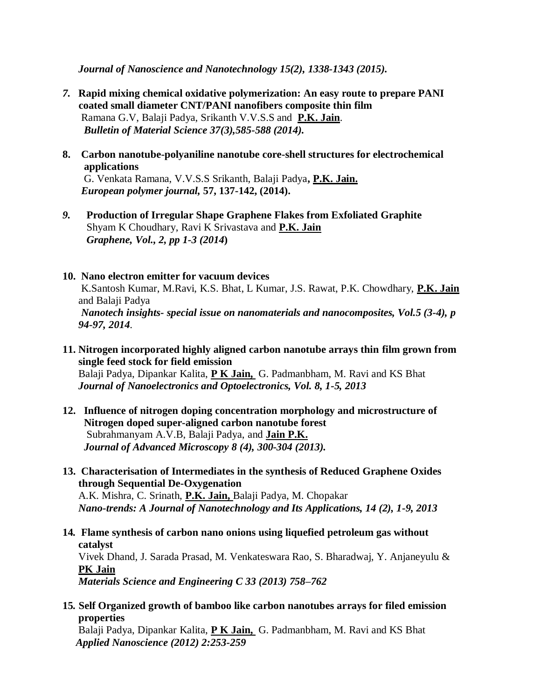*Journal of Nanoscience and Nanotechnology 15(2), 1338-1343 (2015).*

- *7.* **Rapid mixing chemical oxidative polymerization: An easy route to prepare PANI coated small diameter CNT/PANI nanofibers composite thin film** Ramana G.V, Balaji Padya, Srikanth V.V.S.S and **P.K. Jain**. *Bulletin of Material Science 37(3),585-588 (2014).*
- **8. Carbon nanotube-polyaniline nanotube core-shell structures for electrochemical applications** G. Venkata Ramana, V.V.S.S Srikanth, Balaji Padya**, P.K. Jain.**  *European polymer journal,* **57, 137-142, (2014).**
- *9.* **Production of Irregular Shape Graphene Flakes from Exfoliated Graphite** Shyam K Choudhary, Ravi K Srivastava and **P.K. Jain** *Graphene, Vol., 2, pp 1-3 (2014***)**

#### **10. Nano electron emitter for vacuum devices**

K.Santosh Kumar, M.Ravi, K.S. Bhat, L Kumar, J.S. Rawat, P.K. Chowdhary, **P.K. Jain** and Balaji Padya *Nanotech insights- special issue on nanomaterials and nanocomposites, Vol.5 (3-4), p 94-97, 2014*.

**11. Nitrogen incorporated highly aligned carbon nanotube arrays thin film grown from single feed stock for field emission** Balaji Padya, Dipankar Kalita, **P K Jain,** G. Padmanbham, M. Ravi and KS Bhat *Journal of Nanoelectronics and Optoelectronics, Vol. 8, 1-5, 2013*

- **12. Influence of nitrogen doping concentration morphology and microstructure of Nitrogen doped super-aligned carbon nanotube forest** Subrahmanyam A.V.B, Balaji Padya, and **Jain P.K.** *Journal of Advanced Microscopy 8 (4), 300-304 (2013).*
- **13. Characterisation of Intermediates in the synthesis of Reduced Graphene Oxides through Sequential De-Oxygenation**

A.K. Mishra, C. Srinath, **P.K. Jain,** Balaji Padya, M. Chopakar *Nano-trends: A Journal of Nanotechnology and Its Applications, 14 (2), 1-9, 2013* 

- **14***.* **Flame synthesis of carbon nano onions using liquefied petroleum gas without catalyst** Vivek Dhand, J. Sarada Prasad, M. Venkateswara Rao, S. Bharadwaj, Y. Anjaneyulu & **PK Jain** *Materials Science and Engineering C 33 (2013) 758–762*
- **15***.* **Self Organized growth of bamboo like carbon nanotubes arrays for filed emission properties**

Balaji Padya, Dipankar Kalita, **P K Jain,** G. Padmanbham, M. Ravi and KS Bhat  *Applied Nanoscience (2012) 2:253-259*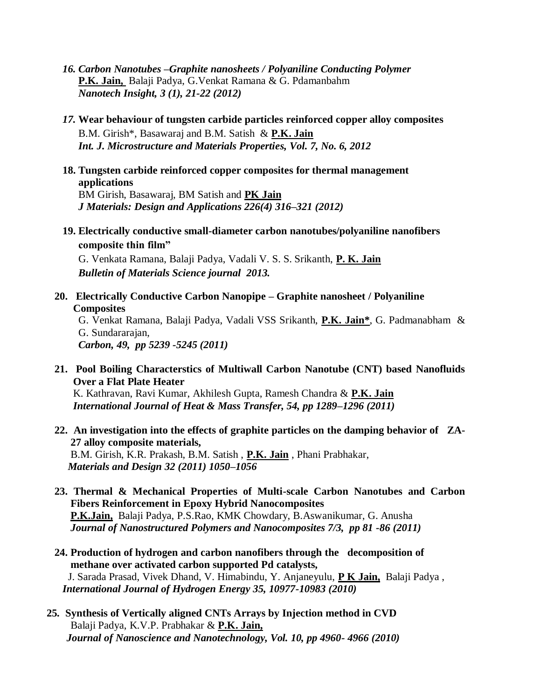- *16. Carbon Nanotubes –Graphite nanosheets / Polyaniline Conducting Polymer* **P.K. Jain,** Balaji Padya, G.Venkat Ramana & G. Pdamanbahm *Nanotech Insight, 3 (1), 21-22 (2012)*
- *17.* **Wear behaviour of tungsten carbide particles reinforced copper alloy composites**  B.M. Girish\*, Basawaraj and B.M. Satish & **P.K. Jain** *Int. J. Microstructure and Materials Properties, Vol. 7, No. 6, 2012*
- **18. Tungsten carbide reinforced copper composites for thermal management applications**

BM Girish, Basawaraj, BM Satish and **PK Jain** *J Materials: Design and Applications 226(4) 316–321 (2012)*

**19. Electrically conductive small-diameter carbon nanotubes/polyaniline nanofibers composite thin film"**

G. Venkata Ramana, Balaji Padya, Vadali V. S. S. Srikanth, **P. K. Jain**  *Bulletin of Materials Science journal 2013.*

**20. Electrically Conductive Carbon Nanopipe – Graphite nanosheet / Polyaniline Composites**

G. Venkat Ramana, Balaji Padya, Vadali VSS Srikanth, **P.K. Jain\***, G. Padmanabham & G. Sundararajan,

*Carbon, 49, pp 5239 -5245 (2011)* 

**21. Pool Boiling Characterstics of Multiwall Carbon Nanotube (CNT) based Nanofluids Over a Flat Plate Heater**

K. Kathravan, Ravi Kumar, Akhilesh Gupta, Ramesh Chandra & **P.K. Jain** *International Journal of Heat & Mass Transfer, 54, pp 1289–1296 (2011)*

**22. An investigation into the effects of graphite particles on the damping behavior of ZA-27 alloy composite materials,** B.M. Girish, K.R. Prakash, B.M. Satish , **P.K. Jain** , Phani Prabhakar,

*Materials and Design 32 (2011) 1050–1056*

- **23. Thermal & Mechanical Properties of Multi-scale Carbon Nanotubes and Carbon Fibers Reinforcement in Epoxy Hybrid Nanocomposites P.K.Jain,** Balaji Padya, P.S.Rao, KMK Chowdary, B.Aswanikumar, G. Anusha  *Journal of Nanostructured Polymers and Nanocomposites 7/3, pp 81 -86 (2011)*
- **24. Production of hydrogen and carbon nanofibers through the decomposition of methane over activated carbon supported Pd catalysts,**  J. Sarada Prasad, Vivek Dhand, V. Himabindu, Y. Anjaneyulu, **P K Jain,** Balaji Padya , *International Journal of Hydrogen Energy 35, 10977-10983 (2010)*
- **25***.* **Synthesis of Vertically aligned CNTs Arrays by Injection method in CVD**  Balaji Padya, K.V.P. Prabhakar & **P.K. Jain,**  *Journal of Nanoscience and Nanotechnology, Vol. 10, pp 4960- 4966 (2010)*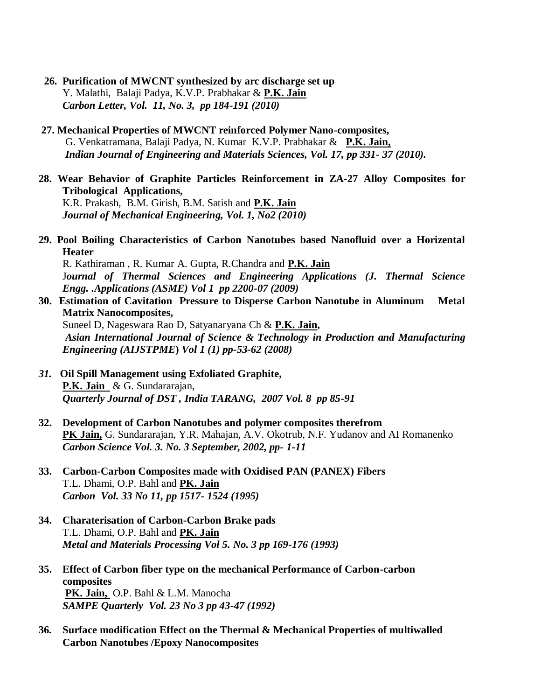- **26. Purification of MWCNT synthesized by arc discharge set up**  Y. Malathi, Balaji Padya, K.V.P. Prabhakar & **P.K. Jain** *Carbon Letter, Vol. 11, No. 3, pp 184-191 (2010)*
- **27. Mechanical Properties of MWCNT reinforced Polymer Nano-composites,**  G. Venkatramana, Balaji Padya, N. Kumar K.V.P. Prabhakar & **P.K. Jain,**  *Indian Journal of Engineering and Materials Sciences, Vol. 17, pp 331- 37 (2010).*
- **28. Wear Behavior of Graphite Particles Reinforcement in ZA-27 Alloy Composites for Tribological Applications,**

K.R. Prakash, B.M. Girish, B.M. Satish and **P.K. Jain** *Journal of Mechanical Engineering, Vol. 1, No2 (2010)*

**29. Pool Boiling Characteristics of Carbon Nanotubes based Nanofluid over a Horizental Heater** 

R. Kathiraman , R. Kumar A. Gupta, R.Chandra and **P.K. Jain** J*ournal of Thermal Sciences and Engineering Applications (J. Thermal Science Engg. .Applications (ASME) Vol 1 pp 2200-07 (2009)*

- **30. Estimation of Cavitation Pressure to Disperse Carbon Nanotube in Aluminum Metal Matrix Nanocomposites,**  Suneel D, Nageswara Rao D, Satyanaryana Ch & **P.K. Jain,**  *Asian International Journal of Science & Technology in Production and Manufacturing Engineering (AIJSTPME***)** *Vol 1 (1) pp-53-62 (2008)*
- *31.* **Oil Spill Management using Exfoliated Graphite, P.K. Jain** & G. Sundararajan, *Quarterly Journal of DST , India TARANG, 2007 Vol. 8 pp 85-91*
- **32. Development of Carbon Nanotubes and polymer composites therefrom PK Jain,** G. Sundararajan, Y.R. Mahajan, A.V. Okotrub, N.F. Yudanov and AI Romanenko *Carbon Science Vol. 3. No. 3 September, 2002, pp- 1-11*
- **33. Carbon-Carbon Composites made with Oxidised PAN (PANEX) Fibers** T.L. Dhami, O.P. Bahl and **PK. Jain** *Carbon Vol. 33 No 11, pp 1517- 1524 (1995)*
- **34. Charaterisation of Carbon-Carbon Brake pads** T.L. Dhami, O.P. Bahl and **PK. Jain** *Metal and Materials Processing Vol 5. No. 3 pp 169-176 (1993)*
- **35. Effect of Carbon fiber type on the mechanical Performance of Carbon-carbon composites PK. Jain,** O.P. Bahl & L.M. Manocha *SAMPE Quarterly Vol. 23 No 3 pp 43-47 (1992)*
- **36***.* **Surface modification Effect on the Thermal & Mechanical Properties of multiwalled Carbon Nanotubes /Epoxy Nanocomposites**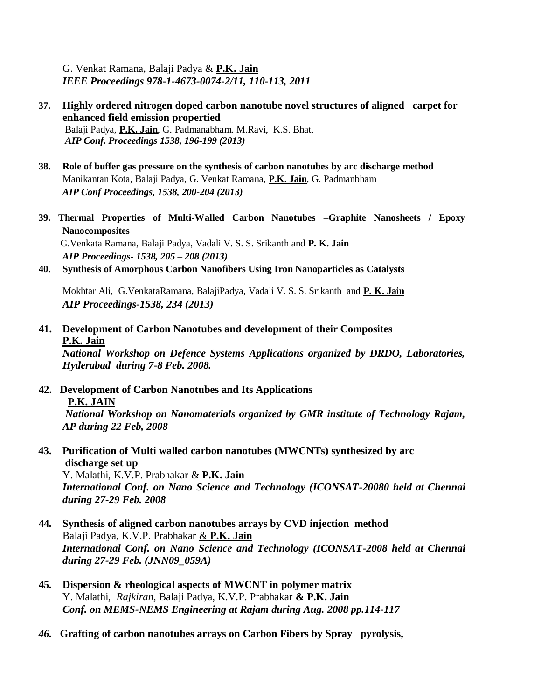G. Venkat Ramana, Balaji Padya & **P.K. Jain** *IEEE Proceedings 978-1-4673-0074-2/11, 110-113, 2011*

- **37. Highly ordered nitrogen doped carbon nanotube novel structures of aligned carpet for enhanced field emission propertied** Balaji Padya, **P.K. Jain**, G. Padmanabham. M.Ravi, K.S. Bhat, *AIP Conf. Proceedings 1538, 196-199 (2013)*
- **38. Role of buffer gas pressure on the synthesis of carbon nanotubes by arc discharge method** Manikantan Kota, Balaji Padya, G. Venkat Ramana, **P.K. Jain**, G. Padmanbham *AIP Conf Proceedings, 1538, 200-204 (2013)*
- **39. Thermal Properties of Multi-Walled Carbon Nanotubes –Graphite Nanosheets / Epoxy Nanocomposites** G.Venkata Ramana, Balaji Padya, Vadali V. S. S. Srikanth and **P. K. Jain** *AIP Proceedings- 1538, 205 – 208 (2013)*
- **40. Synthesis of Amorphous Carbon Nanofibers Using Iron Nanoparticles as Catalysts**

Mokhtar Ali, G.VenkataRamana, BalajiPadya, Vadali V. S. S. Srikanth and **P. K. Jain** *AIP Proceedings-1538, 234 (2013)*

**41. Development of Carbon Nanotubes and development of their Composites P.K. Jain**

*National Workshop on Defence Systems Applications organized by DRDO, Laboratories, Hyderabad during 7-8 Feb. 2008.*

**42. Development of Carbon Nanotubes and Its Applications P.K. JAIN** *National Workshop on Nanomaterials organized by GMR institute of Technology Rajam,* 

*AP during 22 Feb, 2008* 

**43. Purification of Multi walled carbon nanotubes (MWCNTs) synthesized by arc discharge set up**  Y. Malathi, K.V.P. Prabhakar & **P.K. Jain** *International Conf. on Nano Science and Technology (ICONSAT-20080 held at Chennai* 

*during 27-29 Feb. 2008*  **44***.* **Synthesis of aligned carbon nanotubes arrays by CVD injection method**  Balaji Padya, K.V.P. Prabhakar & **P.K. Jain**  *International Conf. on Nano Science and Technology (ICONSAT-2008 held at Chennai during 27-29 Feb. (JNN09\_059A)*

- **45***.* **Dispersion & rheological aspects of MWCNT in polymer matrix** Y. Malathi, *Rajkiran,* Balaji Padya, K.V.P. Prabhakar **& P.K. Jain** *Conf. on MEMS-NEMS Engineering at Rajam during Aug. 2008 pp.114-117*
- *46.* **Grafting of carbon nanotubes arrays on Carbon Fibers by Spray pyrolysis,**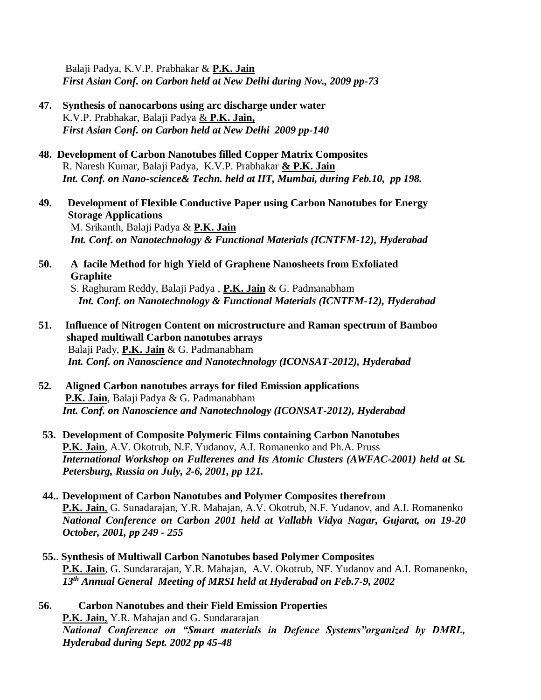Balaji Padya, K.V.P. Prabhakar & **P.K. Jain**  *First Asian Conf. on Carbon held at New Delhi during Nov., 2009 pp-73*

- **47. Synthesis of nanocarbons using arc discharge under water** K.V.P. Prabhakar, Balaji Padya & **P.K. Jain,**  *First Asian Conf. on Carbon held at New Delhi 2009 pp-140*
- **48.****Development of Carbon Nanotubes filled Copper Matrix Composites** R. Naresh Kumar, Balaji Padya, K.V.P. Prabhakar **& P.K. Jain** *Int. Conf. on Nano-science& Techn. held at IIT, Mumbai, during Feb.10, pp 198.*
- **49. Development of Flexible Conductive Paper using Carbon Nanotubes for Energy Storage Applications** M. Srikanth, Balaji Padya & **P.K. Jain**  *Int. Conf. on Nanotechnology & Functional Materials (ICNTFM-12), Hyderabad*
- **50. A facile Method for high Yield of Graphene Nanosheets from Exfoliated Graphite** S. Raghuram Reddy, Balaji Padya , **P.K. Jain** & G. Padmanabham

*Int. Conf. on Nanotechnology & Functional Materials (ICNTFM-12), Hyderabad*

- **51. Influence of Nitrogen Content on microstructure and Raman spectrum of Bamboo shaped multiwall Carbon nanotubes arrays** Balaji Pady, **P.K. Jain** & G. Padmanabham *Int. Conf. on Nanoscience and Nanotechnology (ICONSAT-2012), Hyderabad*
- **52***.* **Aligned Carbon nanotubes arrays for filed Emission applications P.K. Jain**, Balaji Padya & G. Padmanabham *Int. Conf. on Nanoscience and Nanotechnology (ICONSAT-2012), Hyderabad*
- **53. Development of Composite Polymeric Films containing Carbon Nanotubes P.K. Jain**, A.V. Okotrub, N.F. Yudanov, A.I. Romanenko and Ph.A. Pruss *International Workshop on Fullerenes and Its Atomic Clusters (AWFAC-2001) held at St. Petersburg, Russia on July, 2-6, 2001, pp 121.*
- **44.. Development of Carbon Nanotubes and Polymer Composites therefrom P.K. Jain**, G. Sunadarajan, Y.R. Mahajan, A.V. Okotrub, N.F. Yudanov, and A.I. Romanenko *National Conference on Carbon 2001 held at Vallabh Vidya Nagar, Gujarat, on 19-20 October, 2001, pp 249 - 255*
- **55.**. **Synthesis of Multiwall Carbon Nanotubes based Polymer Composites P.K. Jain**, G. Sundararajan, Y.R. Mahajan, A.V. Okotrub, NF. Yudanov and A.I. Romanenko, *13th Annual General Meeting of MRSI held at Hyderabad on Feb.7-9, 2002*
- **56. Carbon Nanotubes and their Field Emission Properties P.K. Jain**, Y.R. Mahajan and G. Sundararajan *National Conference on "Smart materials in Defence Systems"organized by DMRL, Hyderabad during Sept. 2002 pp 45-48*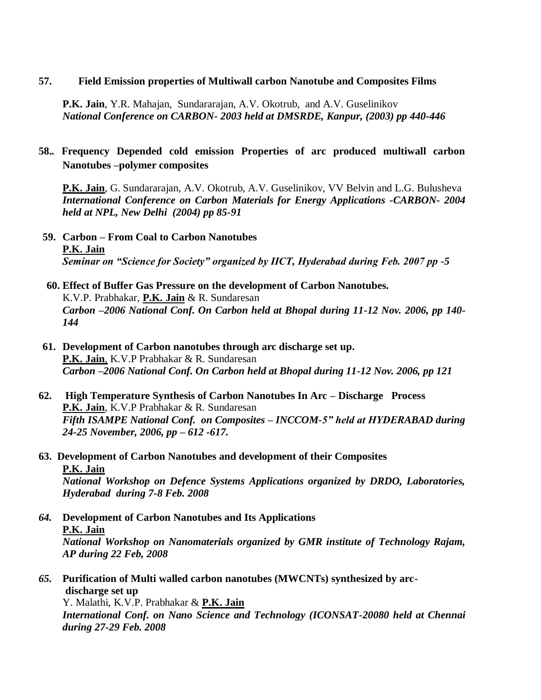#### **57. Field Emission properties of Multiwall carbon Nanotube and Composites Films**

**P.K. Jain**, Y.R. Mahajan, Sundararajan, A.V. Okotrub, and A.V. Guselinikov *National Conference on CARBON- 2003 held at DMSRDE, Kanpur, (2003) pp 440-446*

# **58.***.* **Frequency Depended cold emission Properties of arc produced multiwall carbon Nanotubes –polymer composites**

**P.K. Jain**, G. Sundararajan, A.V. Okotrub, A.V. Guselinikov, VV Belvin and L.G. Bulusheva *International Conference on Carbon Materials for Energy Applications -CARBON- 2004 held at NPL, New Delhi (2004) pp 85-91*

- **59. Carbon – From Coal to Carbon Nanotubes P.K. Jain** *Seminar on "Science for Society" organized by IICT, Hyderabad during Feb. 2007 pp -5*
- **60. Effect of Buffer Gas Pressure on the development of Carbon Nanotubes.** K.V.P. Prabhakar, **P.K. Jain** & R. Sundaresan *Carbon –2006 National Conf. On Carbon held at Bhopal during 11-12 Nov. 2006, pp 140- 144*
- **61. Development of Carbon nanotubes through arc discharge set up. P.K. Jain**, K.V.P Prabhakar & R. Sundaresan *Carbon –2006 National Conf. On Carbon held at Bhopal during 11-12 Nov. 2006, pp 121*
- **62. High Temperature Synthesis of Carbon Nanotubes In Arc – Discharge Process P.K. Jain**, K.V.P Prabhakar & R. Sundaresan *Fifth ISAMPE National Conf. on Composites – INCCOM-5" held at HYDERABAD during 24-25 November, 2006, pp – 612 -617.*
- **63. Development of Carbon Nanotubes and development of their Composites P.K. Jain** *National Workshop on Defence Systems Applications organized by DRDO, Laboratories,*

*Hyderabad during 7-8 Feb. 2008*

- *64.* **Development of Carbon Nanotubes and Its Applications P.K. Jain** *National Workshop on Nanomaterials organized by GMR institute of Technology Rajam, AP during 22 Feb, 2008*
- *65.* **Purification of Multi walled carbon nanotubes (MWCNTs) synthesized by arc discharge set up**

Y. Malathi, K.V.P. Prabhakar & **P.K. Jain** *International Conf. on Nano Science and Technology (ICONSAT-20080 held at Chennai during 27-29 Feb. 2008*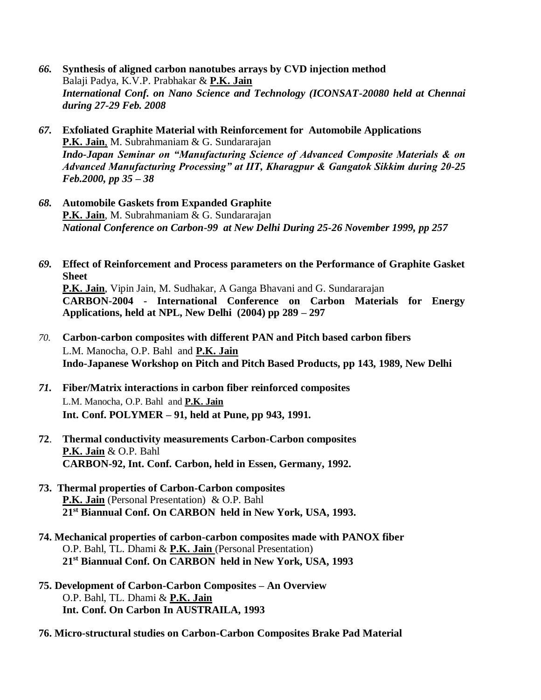- *66.* **Synthesis of aligned carbon nanotubes arrays by CVD injection method** Balaji Padya, K.V.P. Prabhakar & **P.K. Jain** *International Conf. on Nano Science and Technology (ICONSAT-20080 held at Chennai during 27-29 Feb. 2008*
- *67.* **Exfoliated Graphite Material with Reinforcement for Automobile Applications P.K. Jain**, M. Subrahmaniam & G. Sundararajan *Indo-Japan Seminar on "Manufacturing Science of Advanced Composite Materials & on Advanced Manufacturing Processing" at IIT, Kharagpur & Gangatok Sikkim during 20-25 Feb.2000, pp 35 – 38*
- *68.* **Automobile Gaskets from Expanded Graphite P.K. Jain**, M. Subrahmaniam & G. Sundararajan *National Conference on Carbon-99 at New Delhi During 25-26 November 1999, pp 257*
- *69.* **Effect of Reinforcement and Process parameters on the Performance of Graphite Gasket Sheet P.K. Jain**, Vipin Jain, M. Sudhakar, A Ganga Bhavani and G. Sundararajan **CARBON-2004 - International Conference on Carbon Materials for Energy Applications, held at NPL, New Delhi (2004) pp 289 – 297**
- *70.* **Carbon-carbon composites with different PAN and Pitch based carbon fibers** L.M. Manocha, O.P. Bahl and **P.K. Jain Indo-Japanese Workshop on Pitch and Pitch Based Products, pp 143, 1989, New Delhi**
- *71.* **Fiber/Matrix interactions in carbon fiber reinforced composites** L.M. Manocha, O.P. Bahl and **P.K. Jain Int. Conf. POLYMER – 91, held at Pune, pp 943, 1991.**
- **72**. **Thermal conductivity measurements Carbon-Carbon composites P.K. Jain** & O.P. Bahl **CARBON-92, Int. Conf. Carbon, held in Essen, Germany, 1992.**
- **73. Thermal properties of Carbon-Carbon composites P.K. Jain** (Personal Presentation) & O.P. Bahl **21st Biannual Conf. On CARBON held in New York, USA, 1993.**
- **74. Mechanical properties of carbon-carbon composites made with PANOX fiber** O.P. Bahl, TL. Dhami & **P.K. Jain** (Personal Presentation) **21st Biannual Conf. On CARBON held in New York, USA, 1993**
- **75. Development of Carbon-Carbon Composites – An Overview** O.P. Bahl, TL. Dhami & **P.K. Jain Int. Conf. On Carbon In AUSTRAILA, 1993**
- **76. Micro-structural studies on Carbon-Carbon Composites Brake Pad Material**